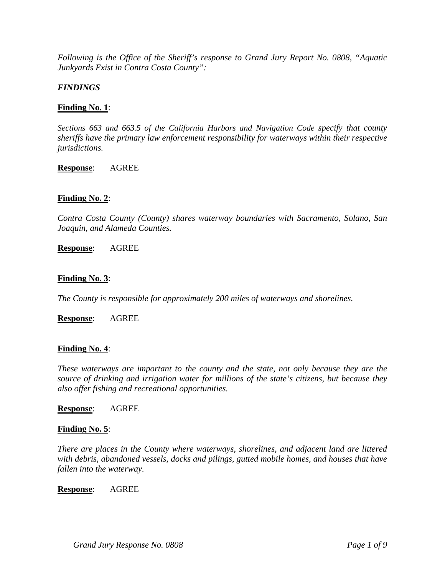*Following is the Office of the Sheriff's response to Grand Jury Report No. 0808, "Aquatic Junkyards Exist in Contra Costa County":* 

# *FINDINGS*

# **Finding No. 1**:

*Sections 663 and 663.5 of the California Harbors and Navigation Code specify that county sheriffs have the primary law enforcement responsibility for waterways within their respective jurisdictions.* 

## **Response**: AGREE

# **Finding No. 2**:

*Contra Costa County (County) shares waterway boundaries with Sacramento, Solano, San Joaquin, and Alameda Counties.* 

**Response**: AGREE

## **Finding No. 3**:

*The County is responsible for approximately 200 miles of waterways and shorelines.* 

**Response**: AGREE

### **Finding No. 4**:

*These waterways are important to the county and the state, not only because they are the source of drinking and irrigation water for millions of the state's citizens, but because they also offer fishing and recreational opportunities.* 

### **Response**: AGREE

### **Finding No. 5**:

*There are places in the County where waterways, shorelines, and adjacent land are littered with debris, abandoned vessels, docks and pilings, gutted mobile homes, and houses that have fallen into the waterway.* 

### **Response**: AGREE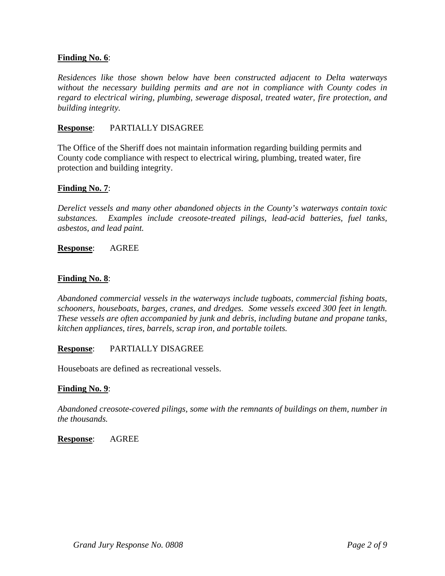# **Finding No. 6**:

*Residences like those shown below have been constructed adjacent to Delta waterways without the necessary building permits and are not in compliance with County codes in regard to electrical wiring, plumbing, sewerage disposal, treated water, fire protection, and building integrity.* 

## **Response**: PARTIALLY DISAGREE

The Office of the Sheriff does not maintain information regarding building permits and County code compliance with respect to electrical wiring, plumbing, treated water, fire protection and building integrity.

## **Finding No. 7**:

*Derelict vessels and many other abandoned objects in the County's waterways contain toxic substances. Examples include creosote-treated pilings, lead-acid batteries, fuel tanks, asbestos, and lead paint.* 

**Response**: AGREE

### **Finding No. 8**:

*Abandoned commercial vessels in the waterways include tugboats, commercial fishing boats, schooners, houseboats, barges, cranes, and dredges. Some vessels exceed 300 feet in length. These vessels are often accompanied by junk and debris, including butane and propane tanks, kitchen appliances, tires, barrels, scrap iron, and portable toilets.* 

### **Response**: PARTIALLY DISAGREE

Houseboats are defined as recreational vessels.

### **Finding No. 9**:

*Abandoned creosote-covered pilings, some with the remnants of buildings on them, number in the thousands.* 

**Response**: AGREE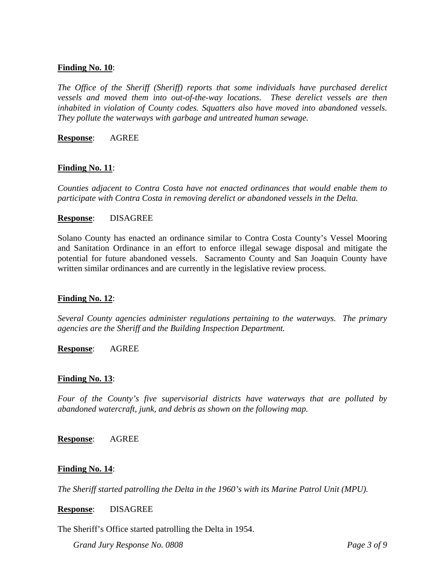## **Finding No. 10**:

*The Office of the Sheriff (Sheriff) reports that some individuals have purchased derelict vessels and moved them into out-of-the-way locations. These derelict vessels are then inhabited in violation of County codes. Squatters also have moved into abandoned vessels. They pollute the waterways with garbage and untreated human sewage.* 

**Response**: AGREE

## **Finding No. 11**:

*Counties adjacent to Contra Costa have not enacted ordinances that would enable them to participate with Contra Costa in removing derelict or abandoned vessels in the Delta.* 

### **Response**: DISAGREE

Solano County has enacted an ordinance similar to Contra Costa County's Vessel Mooring and Sanitation Ordinance in an effort to enforce illegal sewage disposal and mitigate the potential for future abandoned vessels. Sacramento County and San Joaquin County have written similar ordinances and are currently in the legislative review process.

### **Finding No. 12**:

*Several County agencies administer regulations pertaining to the waterways. The primary agencies are the Sheriff and the Building Inspection Department.* 

**Response**: AGREE

### **Finding No. 13**:

*Four of the County's five supervisorial districts have waterways that are polluted by abandoned watercraft, junk, and debris as shown on the following map.* 

**Response**: AGREE

# **Finding No. 14**:

*The Sheriff started patrolling the Delta in the 1960's with its Marine Patrol Unit (MPU).* 

**Response**: DISAGREE

The Sheriff's Office started patrolling the Delta in 1954.

*Grand Jury Response No. 0808 Page 3 of 9*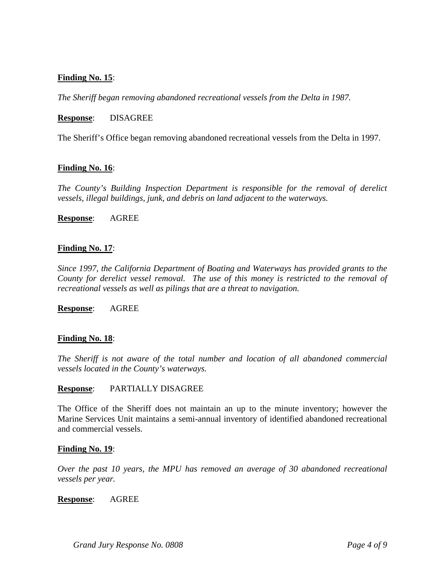# **Finding No. 15**:

*The Sheriff began removing abandoned recreational vessels from the Delta in 1987.* 

## **Response**: DISAGREE

The Sheriff's Office began removing abandoned recreational vessels from the Delta in 1997.

## **Finding No. 16**:

*The County's Building Inspection Department is responsible for the removal of derelict vessels, illegal buildings, junk, and debris on land adjacent to the waterways.* 

**Response**: AGREE

## **Finding No. 17**:

*Since 1997, the California Department of Boating and Waterways has provided grants to the County for derelict vessel removal. The use of this money is restricted to the removal of recreational vessels as well as pilings that are a threat to navigation.* 

**Response**: AGREE

### **Finding No. 18**:

*The Sheriff is not aware of the total number and location of all abandoned commercial vessels located in the County's waterways.* 

### **Response**: PARTIALLY DISAGREE

The Office of the Sheriff does not maintain an up to the minute inventory; however the Marine Services Unit maintains a semi-annual inventory of identified abandoned recreational and commercial vessels.

### **Finding No. 19**:

*Over the past 10 years, the MPU has removed an average of 30 abandoned recreational vessels per year.* 

### **Response**: AGREE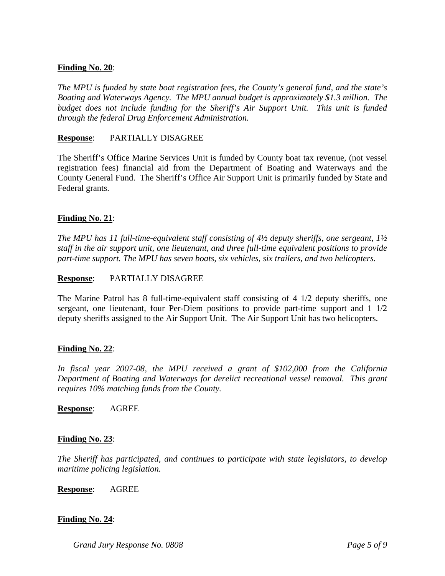# **Finding No. 20**:

*The MPU is funded by state boat registration fees, the County's general fund, and the state's Boating and Waterways Agency. The MPU annual budget is approximately \$1.3 million. The budget does not include funding for the Sheriff's Air Support Unit. This unit is funded through the federal Drug Enforcement Administration.* 

# **Response**: PARTIALLY DISAGREE

The Sheriff's Office Marine Services Unit is funded by County boat tax revenue, (not vessel registration fees) financial aid from the Department of Boating and Waterways and the County General Fund. The Sheriff's Office Air Support Unit is primarily funded by State and Federal grants.

# **Finding No. 21**:

*The MPU has 11 full-time-equivalent staff consisting of 4½ deputy sheriffs, one sergeant, 1½ staff in the air support unit, one lieutenant, and three full-time equivalent positions to provide part-time support. The MPU has seven boats, six vehicles, six trailers, and two helicopters.* 

# **Response**: PARTIALLY DISAGREE

The Marine Patrol has 8 full-time-equivalent staff consisting of 4 1/2 deputy sheriffs, one sergeant, one lieutenant, four Per-Diem positions to provide part-time support and 1 1/2 deputy sheriffs assigned to the Air Support Unit. The Air Support Unit has two helicopters.

# **Finding No. 22**:

*In fiscal year 2007-08, the MPU received a grant of \$102,000 from the California Department of Boating and Waterways for derelict recreational vessel removal. This grant requires 10% matching funds from the County.* 

**Response**: AGREE

# **Finding No. 23**:

*The Sheriff has participated, and continues to participate with state legislators, to develop maritime policing legislation.* 

**Response**: AGREE

# **Finding No. 24**: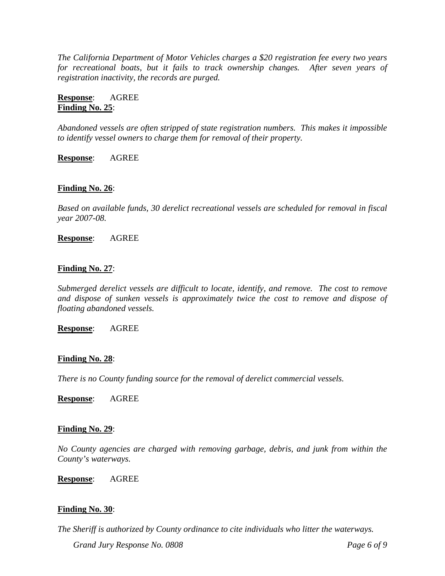*The California Department of Motor Vehicles charges a \$20 registration fee every two years*  for recreational boats, but it fails to track ownership changes. After seven years of *registration inactivity, the records are purged.* 

**Response**: AGREE **Finding No. 25**:

*Abandoned vessels are often stripped of state registration numbers. This makes it impossible to identify vessel owners to charge them for removal of their property.* 

**Response**: AGREE

# **Finding No. 26**:

*Based on available funds, 30 derelict recreational vessels are scheduled for removal in fiscal year 2007-08.* 

**Response**: AGREE

### **Finding No. 27**:

*Submerged derelict vessels are difficult to locate, identify, and remove. The cost to remove and dispose of sunken vessels is approximately twice the cost to remove and dispose of floating abandoned vessels.* 

**Response**: AGREE

### **Finding No. 28**:

*There is no County funding source for the removal of derelict commercial vessels.* 

**Response**: AGREE

### **Finding No. 29**:

*No County agencies are charged with removing garbage, debris, and junk from within the County's waterways.* 

**Response**: AGREE

### **Finding No. 30**:

*Grand Jury Response No. 0808 Page 6 of 9 Page 6 of 9 The Sheriff is authorized by County ordinance to cite individuals who litter the waterways.*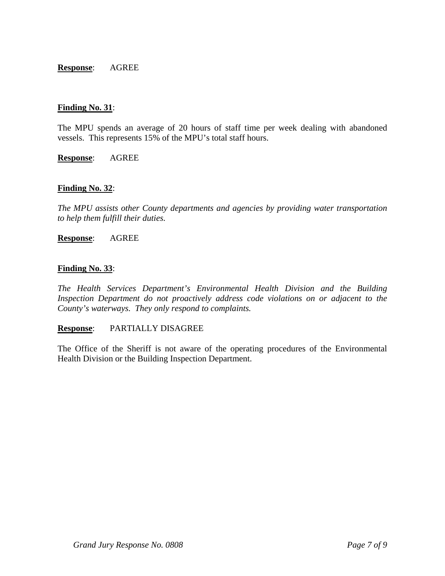## **Response**: AGREE

## **Finding No. 31**:

The MPU spends an average of 20 hours of staff time per week dealing with abandoned vessels. This represents 15% of the MPU's total staff hours.

**Response**: AGREE

## **Finding No. 32**:

*The MPU assists other County departments and agencies by providing water transportation to help them fulfill their duties.* 

**Response**: AGREE

## **Finding No. 33**:

*The Health Services Department's Environmental Health Division and the Building Inspection Department do not proactively address code violations on or adjacent to the County's waterways. They only respond to complaints.* 

# **Response**: PARTIALLY DISAGREE

The Office of the Sheriff is not aware of the operating procedures of the Environmental Health Division or the Building Inspection Department.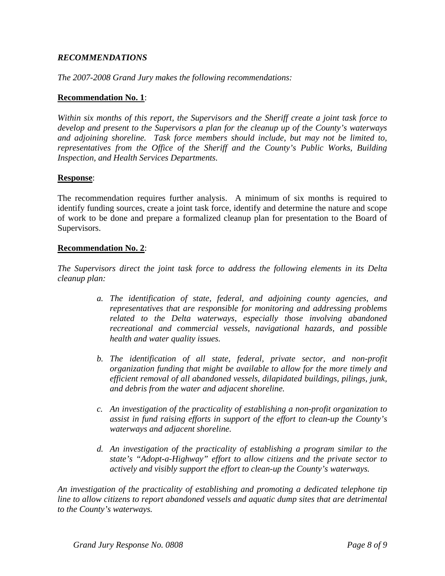# *RECOMMENDATIONS*

*The 2007-2008 Grand Jury makes the following recommendations:* 

## **Recommendation No. 1**:

*Within six months of this report, the Supervisors and the Sheriff create a joint task force to develop and present to the Supervisors a plan for the cleanup up of the County's waterways and adjoining shoreline. Task force members should include, but may not be limited to, representatives from the Office of the Sheriff and the County's Public Works, Building Inspection, and Health Services Departments.* 

## **Response**:

The recommendation requires further analysis. A minimum of six months is required to identify funding sources, create a joint task force, identify and determine the nature and scope of work to be done and prepare a formalized cleanup plan for presentation to the Board of Supervisors.

## **Recommendation No. 2**:

*The Supervisors direct the joint task force to address the following elements in its Delta cleanup plan:* 

- *a. The identification of state, federal, and adjoining county agencies, and representatives that are responsible for monitoring and addressing problems related to the Delta waterways, especially those involving abandoned recreational and commercial vessels, navigational hazards, and possible health and water quality issues.*
- *b. The identification of all state, federal, private sector, and non-profit organization funding that might be available to allow for the more timely and efficient removal of all abandoned vessels, dilapidated buildings, pilings, junk, and debris from the water and adjacent shoreline.*
- *c. An investigation of the practicality of establishing a non-profit organization to assist in fund raising efforts in support of the effort to clean-up the County's waterways and adjacent shoreline.*
- *d. An investigation of the practicality of establishing a program similar to the state's "Adopt-a-Highway" effort to allow citizens and the private sector to actively and visibly support the effort to clean-up the County's waterways.*

*An investigation of the practicality of establishing and promoting a dedicated telephone tip line to allow citizens to report abandoned vessels and aquatic dump sites that are detrimental to the County's waterways.*